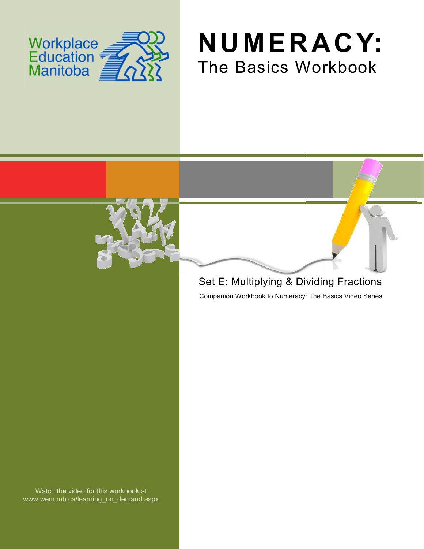





## Set E: Multiplying & Dividing Fractions

Companion Workbook to Numeracy: The Basics Video Series

Watch the video for this workbook at www.wem.mb.ca/learning\_on\_demand.aspx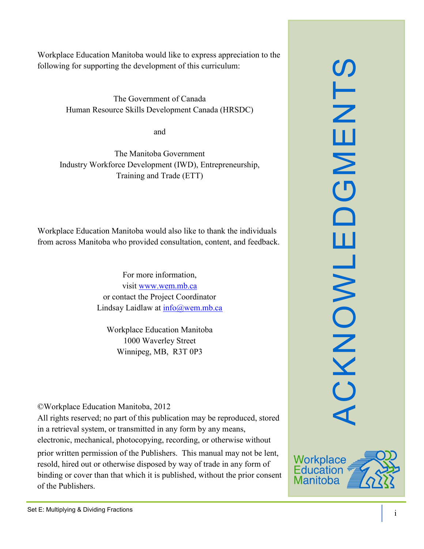Workplace Education Manitoba would like to express appreciation to the following for supporting the development of this curriculum:

> The Government of Canada Human Resource Skills Development Canada (HRSDC)

> > and

The Manitoba Government Industry Workforce Development (IWD), Entrepreneurship, Training and Trade (ETT)

Workplace Education Manitoba would also like to thank the individuals from across Manitoba who provided consultation, content, and feedback.

> For more information, visit [www.wem.mb.ca](http://www.wem.mb.ca/) or contact the Project Coordinator Lindsay Laidlaw at [info@wem.mb.ca](mailto:info@wem.mb.ca)

Workplace Education Manitoba 1000 Waverley Street Winnipeg, MB, R3T 0P3

©Workplace Education Manitoba, 2012

All rights reserved; no part of this publication may be reproduced, stored in a retrieval system, or transmitted in any form by any means, electronic, mechanical, photocopying, recording, or otherwise without

prior written permission of the Publishers. This manual may not be lent, resold, hired out or otherwise disposed by way of trade in any form of binding or cover than that which it is published, without the prior consent of the Publishers.



ACKNOWLEDGMENTS

ш

CKNOWL

 $\Box$ 

SLN

ш

 $\mathsf{z}$ 

 $\overline{\mathbf{C}}$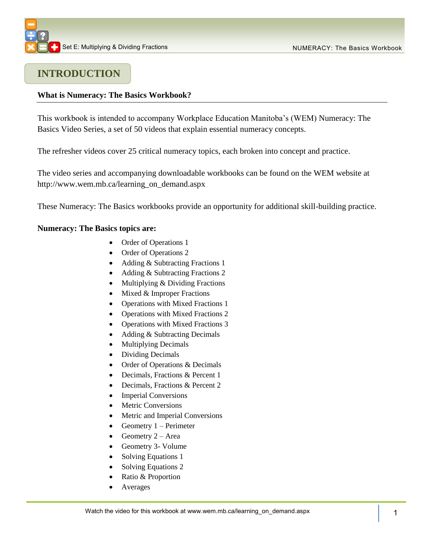## **INTRODUCTION**

#### **What is Numeracy: The Basics Workbook?**

This workbook is intended to accompany Workplace Education Manitoba's (WEM) Numeracy: The Basics Video Series, a set of 50 videos that explain essential numeracy concepts.

The refresher videos cover 25 critical numeracy topics, each broken into concept and practice.

The video series and accompanying downloadable workbooks can be found on the WEM website at [http://www.wem.mb.ca/learning\\_on\\_demand.aspx](http://www.wem.mb.ca/learning_on_demand.aspx)

These Numeracy: The Basics workbooks provide an opportunity for additional skill-building practice.

#### **Numeracy: The Basics topics are:**

- Order of Operations 1
- Order of Operations 2
- Adding & Subtracting Fractions 1
- Adding & Subtracting Fractions 2
- Multiplying & Dividing Fractions
- $\bullet$  Mixed & Improper Fractions
- Operations with Mixed Fractions 1
- Operations with Mixed Fractions 2
- Operations with Mixed Fractions 3
- Adding & Subtracting Decimals
- Multiplying Decimals
- Dividing Decimals
- Order of Operations & Decimals
- Decimals, Fractions & Percent 1
- Decimals, Fractions & Percent 2
- Imperial Conversions
- Metric Conversions
- Metric and Imperial Conversions
- Geometry  $1 -$  Perimeter
- Geometry  $2 Area$
- Geometry 3- Volume
- Solving Equations 1
- Solving Equations 2
- Ratio & Proportion
- Averages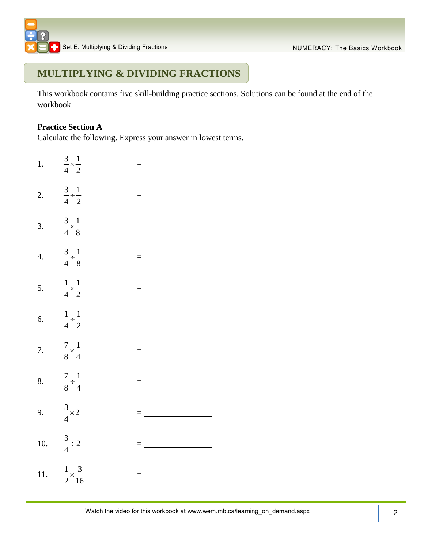## **MULTIPLYING & DIVIDING FRACTIONS**

This workbook contains five skill-building practice sections. Solutions can be found at the end of the workbook.

#### **Practice Section A**

Calculate the following. Express your answer in lowest terms.

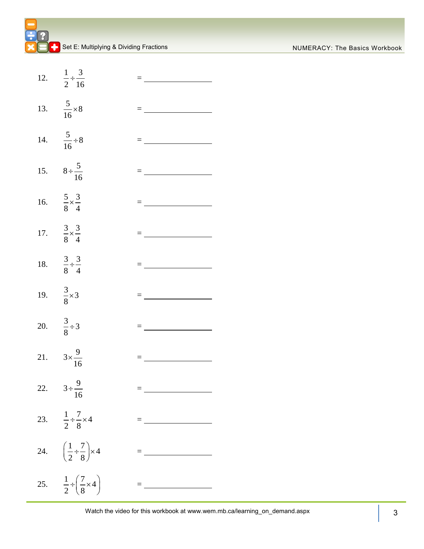| NUMERACY: The Basics Workbook |  |  |  |
|-------------------------------|--|--|--|
|-------------------------------|--|--|--|

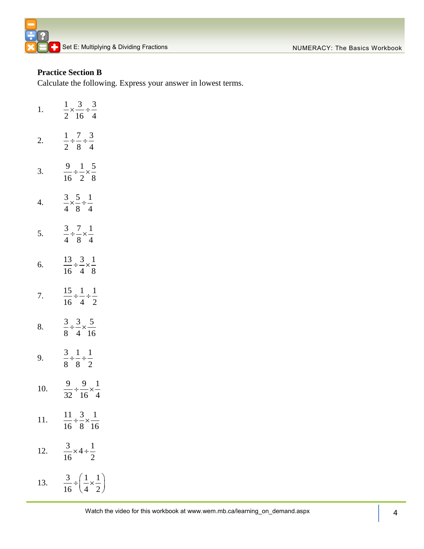#### **Practice Section B**

Calculate the following. Express your answer in lowest terms.

| 1.  | $\frac{1}{2} \times \frac{3}{16} \div \frac{3}{4}$            |
|-----|---------------------------------------------------------------|
| 2.  | $\frac{1}{2} \div \frac{7}{8} \div \frac{3}{4}$               |
| 3.  | $\frac{9}{16} \div \frac{1}{2} \times \frac{5}{8}$            |
| 4.  | $\frac{3}{4} \times \frac{5}{8} \div \frac{1}{4}$             |
| 5.  | $\frac{3}{4} \div \frac{7}{8} \times \frac{1}{4}$             |
| 6.  | $\frac{13}{16} \div \frac{3}{4} \times \frac{1}{8}$           |
| 7.  | $\frac{15}{16} \div \frac{1}{4} \div \frac{1}{2}$             |
| 8.  | $\frac{3}{8} \div \frac{3}{4} \times \frac{5}{16}$            |
| 9.  | $\frac{3}{8} \div \frac{1}{8} \div \frac{1}{2}$               |
| 10. | $\frac{9}{32} \div \frac{9}{16} \times \frac{1}{4}$           |
| 11. | $\frac{11}{16} \div \frac{3}{8} \times \frac{1}{16}$          |
| 12. | $\frac{3}{16} \times 4 \div \frac{1}{2}$                      |
| 13. | $rac{3}{16} \div \left(\frac{1}{4} \times \frac{1}{2}\right)$ |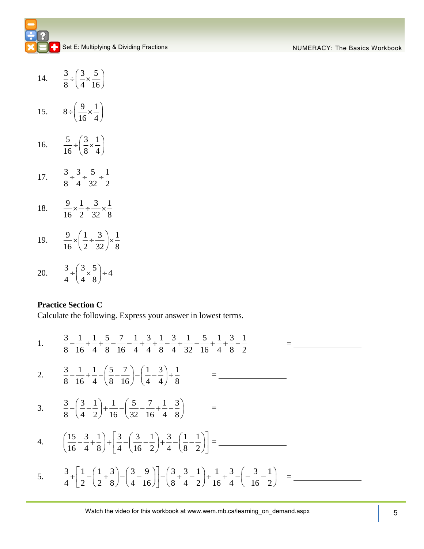| 14. | $rac{3}{8} \div \left(\frac{3}{4} \times \frac{5}{16}\right)$                       |
|-----|-------------------------------------------------------------------------------------|
| 15. | $8 \div \left( \frac{9}{16} \times \frac{1}{4} \right)$                             |
| 16. | $rac{5}{16} \div \left(\frac{3}{8} \times \frac{1}{4}\right)$                       |
| 17. | $rac{3}{8} \div \frac{3}{4} \div \frac{5}{32} \div \frac{1}{2}$                     |
| 18. | $\frac{9}{16} \times \frac{1}{2} \div \frac{3}{32} \times \frac{1}{8}$              |
| 19. | $\frac{9}{16} \times \left(\frac{1}{2} \div \frac{3}{32}\right) \times \frac{1}{8}$ |
| 20. | $rac{3}{4} \div \left(\frac{3}{4} \times \frac{5}{8}\right) \div 4$                 |

#### **Practice Section C**

Calculate the following. Express your answer in lowest terms.  
\n1. 
$$
\frac{3}{8} - \frac{1}{16} + \frac{1}{4} + \frac{5}{8} - \frac{7}{16} - \frac{1}{4} + \frac{3}{4} + \frac{1}{8} - \frac{3}{4} + \frac{1}{32} - \frac{5}{16} + \frac{1}{4} + \frac{3}{8} - \frac{1}{2}
$$
\n2. 
$$
\frac{3}{8} - \frac{1}{16} + \frac{1}{4} - \left(\frac{5}{8} - \frac{7}{16}\right) - \left(\frac{1}{4} - \frac{3}{4}\right) + \frac{1}{8}
$$
\n
$$
= \frac{3}{16}
$$
\n3. 
$$
\frac{3}{8} - \left(\frac{3}{4} - \frac{1}{2}\right) + \frac{1}{16} - \left(\frac{5}{32} - \frac{7}{16} + \frac{1}{4} - \frac{3}{8}\right)
$$
\n
$$
= \frac{3}{16}
$$
\n4. 
$$
\left(\frac{15}{16} - \frac{3}{4} + \frac{1}{8}\right) + \left[\frac{3}{4} - \left(\frac{3}{16} - \frac{1}{2}\right) + \frac{3}{4} - \left(\frac{1}{8} - \frac{1}{2}\right)\right] = \frac{3}{16}
$$
\n5. 
$$
\frac{3}{4} + \left[\frac{1}{2} - \left(\frac{1}{2} + \frac{3}{8}\right) - \left(\frac{3}{4} - \frac{9}{16}\right)\right] - \left(\frac{3}{8} + \frac{3}{4} - \frac{1}{2}\right) + \frac{1}{16} + \frac{3}{4} - \left(-\frac{3}{16} - \frac{1}{2}\right)
$$
\n
$$
= \frac{3}{16}
$$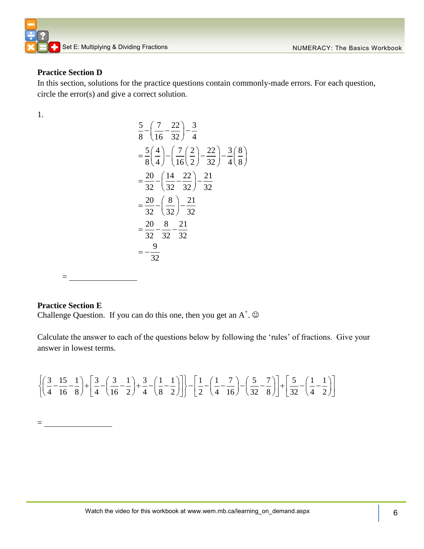

#### **Practice Section D**

In this section, solutions for the practice questions contain commonly-made errors. For each question, circle the error(s) and give a correct solution.

1.

$$
\frac{5}{8} - \left(\frac{7}{16} - \frac{22}{32}\right) - \frac{3}{4}
$$
\n
$$
= \frac{5}{8} \left(\frac{4}{4}\right) - \left(\frac{7}{16} \left(\frac{2}{2}\right) - \frac{22}{32}\right) - \frac{3}{4} \left(\frac{8}{8}\right)
$$
\n
$$
= \frac{20}{32} - \left(\frac{14}{32} - \frac{22}{32}\right) - \frac{21}{32}
$$
\n
$$
= \frac{20}{32} - \left(\frac{8}{32}\right) - \frac{21}{32}
$$
\n
$$
= \frac{20}{32} - \frac{8}{32} - \frac{21}{32}
$$
\n
$$
= -\frac{9}{32}
$$

 $=$ 

#### **Practice Section E**

 $=$ 

Challenge Question. If you can do this one, then you get an  $A^+$ .  $\odot$ 

Calculate the answer to each of the questions below by following the 'rules' of fractions. Give your answer in lowest terms.

answer in lowest terms.  
\n
$$
\left\{\left(\frac{3}{4} - \frac{15}{16} - \frac{1}{8}\right) + \left[\frac{3}{4} - \left(\frac{3}{16} - \frac{1}{2}\right) + \frac{3}{4} - \left(\frac{1}{8} - \frac{1}{2}\right)\right]\right\} - \left[\frac{1}{2} - \left(\frac{1}{4} - \frac{7}{16}\right) - \left(\frac{5}{32} - \frac{7}{8}\right)\right] + \left[\frac{5}{32} - \left(\frac{1}{4} - \frac{1}{2}\right)\right]
$$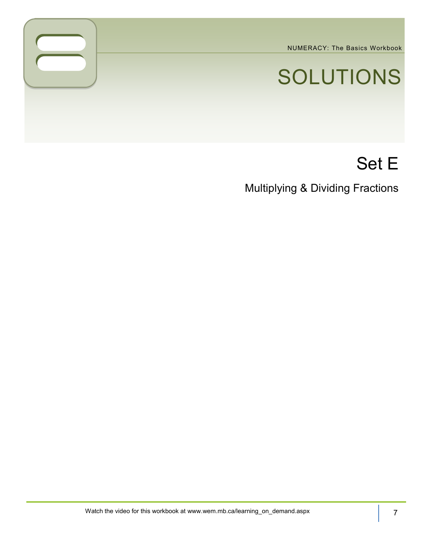NUMERACY: The Basics Workbook

# SOLUTIONS

## Set E

Multiplying & Dividing Fractions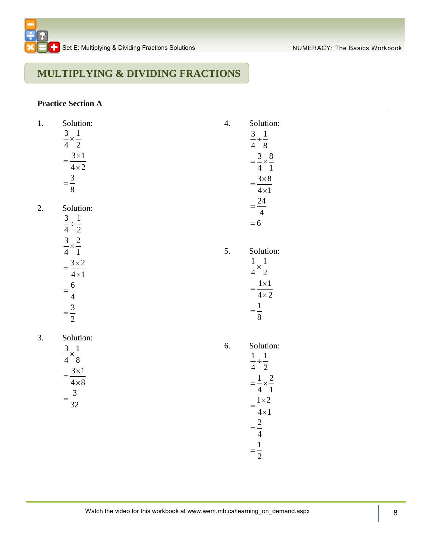## **MULTIPLYING & DIVIDING FRACTIONS**

#### **Practice Section A**

| 1. | Solution:<br>$rac{3}{4} \times \frac{1}{2}$<br>$=\frac{3\times1}{4\times2}$<br>$=\frac{3}{8}$  | 4. | Solution:<br>$\frac{3}{4} \div \frac{1}{8}$<br>$=\frac{3}{4} \times \frac{8}{1}$<br>$=\frac{3\times8}{4\times1}$                                     |
|----|------------------------------------------------------------------------------------------------|----|------------------------------------------------------------------------------------------------------------------------------------------------------|
| 2. | Solution:<br>$\frac{3}{4} \div \frac{1}{2}$<br>$\frac{3}{4} \times \frac{2}{1}$                |    | $=\frac{24}{4}$<br>$= 6$                                                                                                                             |
|    | $=\frac{3\times2}{4\times1}$<br>$=\frac{6}{4}$<br>$=\frac{3}{2}$                               | 5. | Solution:<br>$rac{1}{4} \times \frac{1}{2}$<br>$=\frac{1\times1}{4\times2}$<br>$=\frac{1}{8}$                                                        |
| 3. | Solution:<br>$rac{3}{4} \times \frac{1}{8}$<br>$=\frac{3\times1}{4\times8}$<br>$=\frac{3}{32}$ | 6. | Solution:<br>$\frac{1}{4} \div \frac{1}{2}$<br>$=\frac{1}{4} \times \frac{2}{1}$<br>$=\frac{1\times2}{4\times1}$<br>$=\frac{2}{4}$<br>$=\frac{1}{2}$ |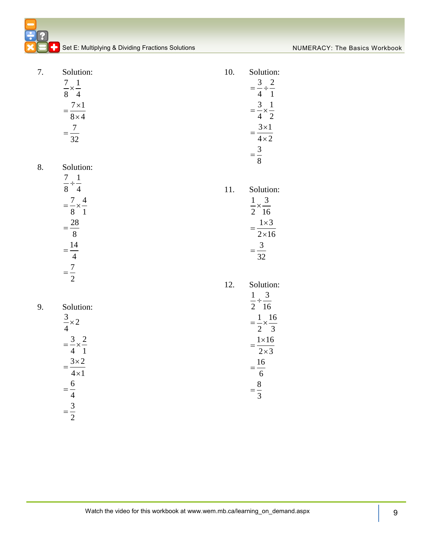| 7. | Solution:                         | 10. | Solution:                          |
|----|-----------------------------------|-----|------------------------------------|
|    |                                   |     |                                    |
|    | $rac{7}{8} \times \frac{1}{4}$    |     | $=\frac{3}{4} \div \frac{2}{1}$    |
|    |                                   |     |                                    |
|    | $=\frac{7\times1}{8\times4}$      |     | $=\frac{3}{4}\times\frac{1}{2}$    |
|    |                                   |     |                                    |
|    | $=\frac{7}{32}$                   |     | $=\frac{3\times1}{4\times2}$       |
|    |                                   |     | $=\frac{3}{8}$                     |
| 8. | Solution:                         |     |                                    |
|    |                                   |     |                                    |
|    | $\frac{7}{8} \div \frac{1}{4}$    | 11. | Solution:                          |
|    |                                   |     |                                    |
|    | $=\frac{7}{8} \times \frac{4}{1}$ |     | $rac{1}{2} \times \frac{3}{16}$    |
|    |                                   |     |                                    |
|    | $=\frac{28}{8}$                   |     | $=\frac{1\times3}{2\times16}$      |
|    |                                   |     |                                    |
|    | $=\frac{14}{4}$                   |     | $=\frac{3}{32}$                    |
|    | $=\frac{7}{2}$                    |     |                                    |
|    |                                   | 12. | Solution:                          |
|    |                                   |     |                                    |
| 9. | Solution:                         |     | $\frac{1}{2} \div \frac{3}{16}$    |
|    |                                   |     |                                    |
|    | $\frac{3}{4} \times 2$            |     | $=\frac{1}{2} \times \frac{16}{3}$ |
|    | $=\frac{3}{4} \times \frac{2}{1}$ |     |                                    |
|    |                                   |     | $=\frac{1\times16}{2\times3}$      |
|    | $=\frac{3\times2}{4\times1}$      |     |                                    |
|    |                                   |     | $=\frac{16}{6}$                    |
|    | $=\frac{6}{4}$<br>$=\frac{3}{2}$  |     | $=\frac{8}{3}$                     |
|    |                                   |     |                                    |
|    |                                   |     |                                    |
|    |                                   |     |                                    |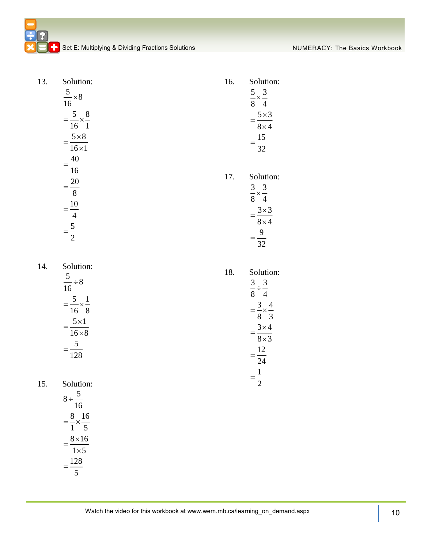| 13. | Solution:<br>$rac{5}{16} \times 8$<br>$=\frac{5}{16} \times \frac{8}{1}$<br>$=\frac{5\times8}{16\times1}$                                             | 16. | Solution:<br>$rac{5}{8} \times \frac{3}{4}$<br>$=\frac{5\times3}{8\times4}$<br>$=\frac{15}{32}$                                                        |
|-----|-------------------------------------------------------------------------------------------------------------------------------------------------------|-----|--------------------------------------------------------------------------------------------------------------------------------------------------------|
|     | $=\frac{40}{16}$<br>$=\frac{20}{8}$<br>$=\frac{10}{4}$<br>= $\frac{5}{2}$                                                                             | 17. | Solution:<br>$\frac{3}{8} \times \frac{3}{4}$<br>$=\frac{3\times3}{8\times4}$<br>$=\frac{9}{32}$                                                       |
| 14. | Solution:<br>$\frac{5}{16} \div 8$<br>$=\frac{5}{16} \times \frac{1}{8}$<br>$=\frac{5\times1}{16\times8}$<br>$=\frac{5}{128}$                         | 18. | Solution:<br>$\frac{3}{8} \div \frac{3}{4}$<br>$=\frac{3}{8} \times \frac{4}{3}$<br>$=\frac{3\times4}{8\times3}$<br>$=\frac{12}{24}$<br>$=\frac{1}{2}$ |
| 15. | Solution:<br>$8 \div \frac{5}{16}$<br>$=\frac{8}{1} \times \frac{16}{5}$<br>$=\frac{8\times16}{1}$<br>$\overline{1\times 5}$<br>$=\frac{128}{1}$<br>5 |     |                                                                                                                                                        |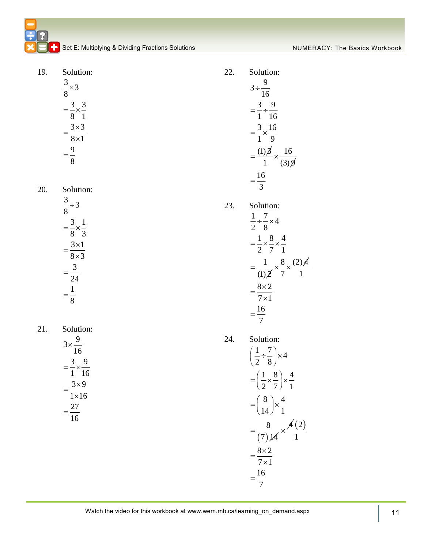19.

20.

 $21.$ 

| Solution:                                        | 22. | Solution:                                                                |
|--------------------------------------------------|-----|--------------------------------------------------------------------------|
| $\frac{3}{8} \times 3$                           |     | $3 \div \frac{9}{16}$                                                    |
| $=\frac{3}{8} \times \frac{3}{1}$                |     | $=\frac{3}{1} \div \frac{9}{16}$                                         |
| $=\frac{3\times3}{8\times1}$                     |     | $=\frac{3}{1}\times\frac{16}{9}$                                         |
| $=\frac{9}{8}$                                   |     | $=\frac{(1)\cancel{3}}{1} \times \frac{16}{(3)\cancel{9}}$               |
| Solution:                                        |     | $=\frac{16}{3}$                                                          |
| $\frac{3}{8} \div 3$                             | 23. | Solution:                                                                |
| $=\frac{3}{8} \times \frac{1}{3}$                |     | $rac{1}{2} \div \frac{7}{8} \times 4$                                    |
| $=\frac{3\times1}{8\times3}$                     |     | $=\frac{1}{2}\times\frac{8}{7}\times\frac{4}{1}$                         |
| $=\frac{3}{24}$                                  |     | $=\frac{1}{(1)\cancel{2}}\times\frac{8}{7}\times\frac{(2)\cancel{4}}{1}$ |
| $=\frac{1}{8}$                                   |     | $=\frac{8\times2}{7\times1}$                                             |
|                                                  |     | $=\frac{16}{7}$                                                          |
| Solution:                                        | 24. | Solution:                                                                |
| $3 \times \frac{9}{16}$                          |     | $\left(\frac{1}{2} \div \frac{7}{8}\right) \times 4$                     |
| $=\frac{3}{1} \times \frac{9}{16}$<br>$3\times9$ |     | $=\left(\frac{1}{2}\times\frac{8}{7}\right)\times\frac{4}{1}$            |
| $1\times 16$                                     |     | $=\left(\frac{8}{14}\right)\times\frac{4}{1}$                            |
| $=\frac{27}{16}$                                 |     | $=\frac{8}{(7)\cancel{14}}\times\frac{\cancel{4}(2)}{1}$                 |
|                                                  |     |                                                                          |
|                                                  |     | $=\frac{8\times2}{7\times1}$                                             |
|                                                  |     | $=\frac{16}{7}$                                                          |
|                                                  |     |                                                                          |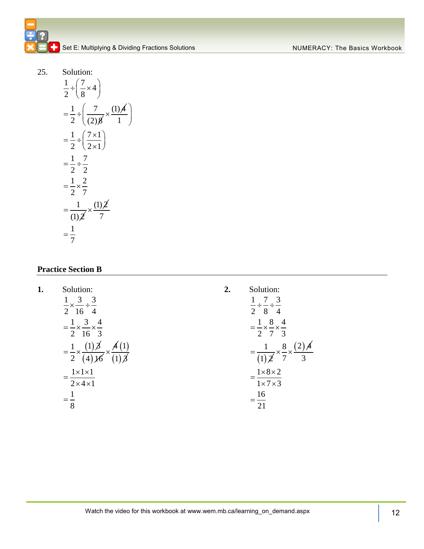25. Solution:

$$
\frac{1}{2} \div \left(\frac{7}{8} \times 4\right)
$$
\n
$$
= \frac{1}{2} \div \left(\frac{7}{(2)\cancel{8}} \times \frac{(1)\cancel{4}}{1}\right)
$$
\n
$$
= \frac{1}{2} \div \left(\frac{7 \times 1}{2 \times 1}\right)
$$
\n
$$
= \frac{1}{2} \div \frac{7}{2}
$$
\n
$$
= \frac{1}{2} \times \frac{2}{7}
$$
\n
$$
= \frac{1}{(1)\cancel{2}} \times \frac{(1)\cancel{2}}{7}
$$
\n
$$
= \frac{1}{7}
$$

#### **Practice Section B**

| 1. | Solution:                                                                 | 2. | Solution:                                                    |
|----|---------------------------------------------------------------------------|----|--------------------------------------------------------------|
|    | $1 \quad 3 \quad 3$<br>$\frac{1}{2} \times \frac{1}{16} \div \frac{1}{4}$ |    | $\overline{7}$<br>- 3<br>$\frac{1}{2} \div \frac{7}{8} \div$ |
|    | $\overline{3}$<br>$\overline{4}$<br>$=-x-x-$                              |    | - 8<br>$\overline{4}$<br>$=-x-x-$                            |
|    | $2\;16\;3$                                                                |    | 2 7 3<br>8                                                   |
|    | $=\frac{1}{2} \times$                                                     |    | $\times -$<br>3                                              |
|    | $1 \times 1 \times 1$<br>$2 \times 4 \times 1$                            |    | $1 \times 8 \times 2$<br>$1 \times 7 \times 3$               |
|    |                                                                           |    | 16                                                           |
|    | 8                                                                         |    | 21                                                           |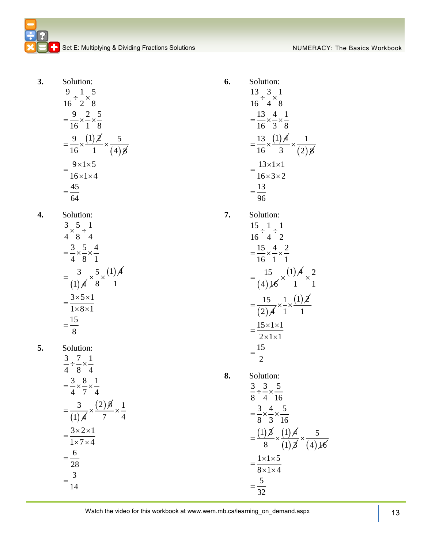**3.** Solution:

$$
\frac{9}{16} \div \frac{1}{2} \times \frac{5}{8}
$$
  
=  $\frac{9}{16} \times \frac{2}{1} \times \frac{5}{8}$   
=  $\frac{9}{16} \times \frac{(1)\cancel{2}}{1} \times \frac{5}{(4)\cancel{8}}$   
=  $\frac{9 \times 1 \times 5}{16 \times 1 \times 4}$   
=  $\frac{45}{64}$ 

**4.** Solution:  $\frac{3}{1} \times \frac{5}{2} \div \frac{1}{4}$ 

$$
\frac{4 \times 8}{4 \times 8} = \frac{3}{4} \times \frac{5}{8} \times \frac{4}{1}
$$
  
= 
$$
\frac{3}{(1)} \times \frac{5}{8} \times \frac{(1)}{1}
$$
  
= 
$$
\frac{3 \times 5 \times 1}{1 \times 8 \times 1}
$$
  
= 
$$
\frac{15}{8}
$$

**5.** Solution:

$$
\frac{3}{4} \div \frac{7}{8} \times \frac{1}{4}
$$
\n
$$
= \frac{3}{4} \times \frac{8}{7} \times \frac{1}{4}
$$
\n
$$
= \frac{3}{(1)\cancel{4}} \times \frac{(2)\cancel{8}}{7} \times \frac{1}{4}
$$
\n
$$
= \frac{3 \times 2 \times 1}{1 \times 7 \times 4}
$$
\n
$$
= \frac{6}{28}
$$
\n
$$
= \frac{3}{14}
$$

**6.** Solution: 13  $(1)$   $\cancel{4}$  $13 \t3 \t1$  $\frac{1}{16}$  +  $\frac{1}{4}$   $\times$   $\frac{1}{8}$  $13^{4}$  1  $\frac{1}{16} \times \frac{1}{3} \times \frac{1}{8}$  $=\frac{13}{16}\times\frac{(1)\cancel{4}}{3}\times\frac{1}{(2)}$  $\div \frac{3}{4} \times \frac{1}{8}$  $=\frac{13}{16} \times \frac{4}{2} \times \frac{1}{6}$  $\frac{77}{3} \times \frac{1}{(2)8}$  $13 \times 1 \times 1$  $\frac{16 \times 3 \times 2}{16 \times 3 \times 2}$ 13 96  $=\frac{13\times1\times1}{16\times3\times2}$  $=$ **7.** Solution:  $\frac{15}{15} \div \frac{1}{15} \div \frac{1}{2}$ 

$$
\frac{16 \div 4}{16 \div 2}
$$
\n
$$
= \frac{15}{16} \times \frac{4}{1} \times \frac{2}{1}
$$
\n
$$
= \frac{15}{(4)\cancel{16}} \times \frac{(1)\cancel{4}}{1} \times \frac{2}{1}
$$
\n
$$
= \frac{15}{(2)\cancel{4}} \times \frac{1}{1} \times \frac{(1)\cancel{2}}{1}
$$
\n
$$
= \frac{15 \times 1 \times 1}{2 \times 1 \times 1}
$$
\n
$$
= \frac{15}{2}
$$

8. Solution:  
\n
$$
\frac{3}{8} \div \frac{3}{4} \times \frac{5}{16}
$$
\n
$$
= \frac{3}{8} \times \frac{4}{3} \times \frac{5}{16}
$$
\n
$$
= \frac{(1)\cancel{3}}{8} \times \frac{(1)\cancel{4}}{(1)\cancel{3}} \times \frac{5}{(4)\cancel{16}}
$$
\n
$$
= \frac{1 \times 1 \times 5}{8 \times 1 \times 4}
$$
\n
$$
= \frac{5}{32}
$$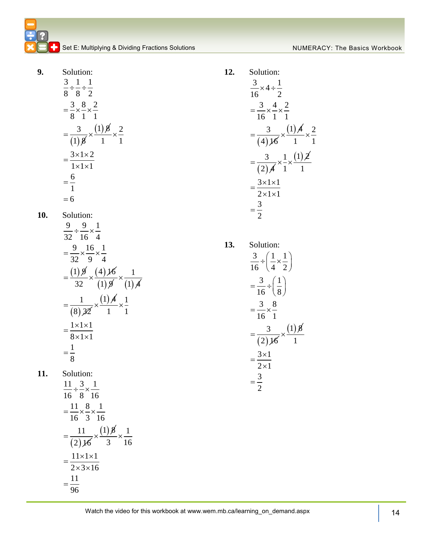9. Solution:  
\n
$$
\frac{3}{8} \div \frac{1}{8} \div \frac{1}{2}
$$
\n
$$
= \frac{3}{8} \times \frac{8}{1} \times \frac{2}{1}
$$
\n
$$
= \frac{3}{(1)8} \times \frac{(1)8}{1} \times \frac{2}{1}
$$
\n
$$
= \frac{3 \times 1 \times 2}{1 \times 1 \times 1}
$$
\n
$$
= \frac{6}{1}
$$
\n
$$
= 6
$$

**10.** Solution:

$$
\frac{9}{32} \div \frac{9}{16} \times \frac{1}{4}
$$
  
=  $\frac{9}{32} \times \frac{16}{9} \times \frac{1}{4}$   
=  $\frac{(1)9}{32} \times \frac{(4)16}{(1)9} \times \frac{1}{(1)4}$   
=  $\frac{1}{(8)32} \times \frac{(1)4}{1} \times \frac{1}{1}$   
=  $\frac{1 \times 1 \times 1}{8 \times 1 \times 1}$   
=  $\frac{1}{8}$ 

**11.** Solution:

$$
\frac{11}{16} \div \frac{3}{8} \times \frac{1}{16}
$$
  
=  $\frac{11}{16} \times \frac{8}{3} \times \frac{1}{16}$   
=  $\frac{11}{(2)\cancel{16}} \times \frac{(1)\cancel{8}}{3} \times \frac{1}{16}$   
=  $\frac{11 \times 1 \times 1}{2 \times 3 \times 16}$   
=  $\frac{11}{96}$ 

Solution:  
\n
$$
\frac{3}{16} \times 4 \div \frac{1}{2}
$$
\n
$$
= \frac{3}{16} \times \frac{4}{1} \times \frac{2}{1}
$$
\n
$$
= \frac{3}{(4)\cancel{16}} \times \frac{(1)\cancel{4}}{1} \times \frac{2}{1}
$$
\n
$$
= \frac{3}{(2)\cancel{4}} \times \frac{1}{1} \times \frac{(1)\cancel{2}}{1}
$$
\n
$$
= \frac{3 \times 1 \times 1}{2 \times 1 \times 1}
$$
\n
$$
= \frac{3}{2}
$$

**13.** Solution:

**12.** 

$$
\frac{3}{16} \div \left(\frac{1}{4} \times \frac{1}{2}\right)
$$
\n
$$
= \frac{3}{16} \div \left(\frac{1}{8}\right)
$$
\n
$$
= \frac{3}{16} \times \frac{8}{1}
$$
\n
$$
= \frac{3}{(2)\cancel{16}} \times \frac{(1)\cancel{8}}{1}
$$
\n
$$
= \frac{3 \times 1}{2 \times 1}
$$
\n
$$
= \frac{3}{2}
$$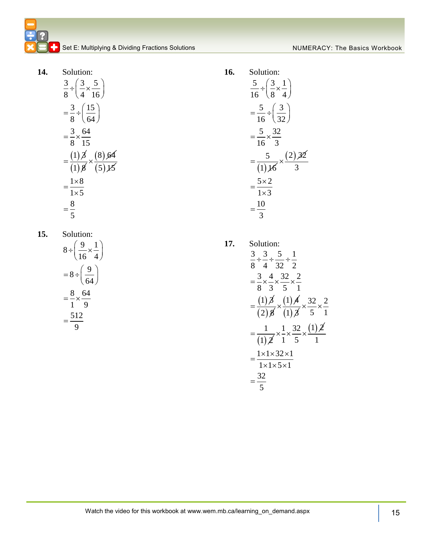**14.** Solution:  $(1)$  $\beta$  $3 \big) 3 \big) 5$  $8 \cdot 4 \cdot 16$  $3 \t(15)$  $8 \big)$  (64) 3 64  $8^{\degree}15$  $\div\left(\frac{3}{4}\times\frac{5}{16}\right)$  $=\frac{3}{8} \div \left(\frac{15}{64}\right)$  $=\frac{3}{2} \times \frac{0}{4}$  $=$  $(1)$   $8$  $\times \frac{(8) 64}{(2) 14}$  $(5)$  15  $1\times 8$  $1 \times 5$ 8 5  $=\frac{1\times}{1}$  $\times$ =

**15.** Solution:

$$
8 \div \left(\frac{9}{16} \times \frac{1}{4}\right)
$$

$$
= 8 \div \left(\frac{9}{64}\right)
$$

$$
= \frac{8}{1} \times \frac{64}{9}
$$

$$
= \frac{512}{9}
$$

**16.** Solution:

$$
\frac{5}{16} \div \left(\frac{3}{8} \times \frac{1}{4}\right)
$$
\n
$$
= \frac{5}{16} \div \left(\frac{3}{32}\right)
$$
\n
$$
= \frac{5}{16} \times \frac{32}{3}
$$
\n
$$
= \frac{5}{(1)\cancel{16}} \times \frac{(2)\cancel{32}}{3}
$$
\n
$$
= \frac{5 \times 2}{1 \times 3}
$$
\n
$$
= \frac{10}{3}
$$

**17.** Solution:  $=\frac{(1)\cancel{3}}{(2)\cancel{8}}$  $3 \t3 \t3 \t1$  $\frac{1}{8}$   $\frac{1}{4}$   $\frac{1}{32}$   $\frac{1}{2}$   $\frac{1}{2}$  $3^{14}$   $32^{2}$  $\frac{x}{8} \times \frac{x}{3} \times \frac{x}{5} \times \frac{1}{1}$  $\div \frac{3}{4} \div \frac{5}{22} \div \frac{1}{2}$  $=\frac{3}{2} \times \frac{4}{2} \times \frac{32}{5} \times \frac{2}{1}$  $\times \frac{(1) A}{(1) \beta}$  $(1)$  $32\degree$  2  $\frac{x}{5}$   $\times$   $\frac{1}{1}$ 1  $=\frac{1}{(1)\cancel{2}} \times \frac{1}{1} \times \frac{32}{5} \times \frac{(1)\cancel{2}}{1}$  $\times \frac{32}{5} \times \frac{2}{1}$  $\frac{-x}{1}$  5  $\times\frac{1}{1}\times\frac{32}{5}\times\frac{(1)}{5}$ 1  $\frac{1}{1} \times 1 \times 32 \times 1$  $\overline{1 \times 1 \times 5 \times 1}$ 32 5  $=\frac{1\times1\times32\times1}{1\times1\times5\times1}$  $=$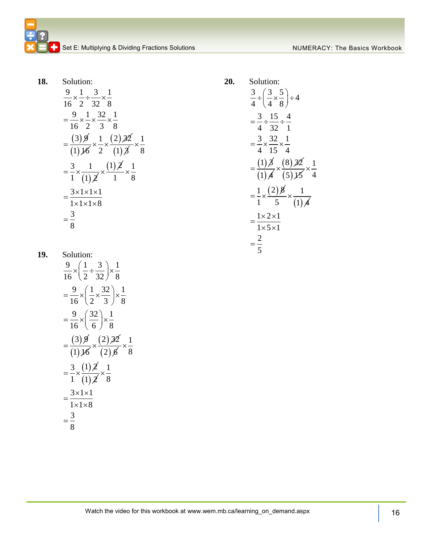**18.** Solution:

$$
\frac{9}{16} \times \frac{1}{2} \div \frac{3}{32} \times \frac{1}{8}
$$
  
=  $\frac{9}{16} \times \frac{1}{2} \times \frac{32}{3} \times \frac{1}{8}$   
=  $\frac{(3)\cancel{9}}{(1)\cancel{16}} \times \frac{1}{2} \times \frac{(2)\cancel{32}}{(1)\cancel{3}} \times \frac{1}{8}$   
=  $\frac{3}{1} \times \frac{1}{(1)\cancel{2}} \times \frac{(1)\cancel{2}}{1} \times \frac{1}{8}$   
=  $\frac{3 \times 1 \times 1 \times 1}{1 \times 1 \times 1 \times 8}$   
=  $\frac{3}{8}$ 

Solution:  
\n
$$
\frac{3}{4} \div \left(\frac{3}{4} \times \frac{5}{8}\right) \div 4
$$
\n
$$
= \frac{3}{4} \div \frac{15}{32} \div \frac{4}{1}
$$
\n
$$
= \frac{3}{4} \times \frac{32}{15} \times \frac{1}{4}
$$
\n
$$
= \frac{(1)\cancel{3}}{(1)\cancel{4}} \times \frac{(8)\cancel{32}}{(5)\cancel{15}} \times \frac{1}{4}
$$
\n
$$
= \frac{1}{1} \times \frac{(2)\cancel{8}}{5} \times \frac{1}{(1)\cancel{4}}
$$
\n
$$
= \frac{1 \times 2 \times 1}{1 \times 5 \times 1}
$$
\n
$$
= \frac{2}{5}
$$

 $20.$ 

**19.** Solution:

$$
\frac{9}{16} \times \left(\frac{1}{2} \div \frac{3}{32}\right) \times \frac{1}{8}
$$
\n
$$
= \frac{9}{16} \times \left(\frac{1}{2} \times \frac{32}{3}\right) \times \frac{1}{8}
$$
\n
$$
= \frac{9}{16} \times \left(\frac{32}{6}\right) \times \frac{1}{8}
$$
\n
$$
= \frac{(3)\cancel{9}}{(1)\cancel{16}} \times \frac{(2)\cancel{32}}{(2)\cancel{6}} \times \frac{1}{8}
$$
\n
$$
= \frac{3}{1} \times \frac{(1)\cancel{2}}{(1)\cancel{2}} \times \frac{1}{8}
$$
\n
$$
= \frac{3 \times 1 \times 1}{1 \times 1 \times 8}
$$
\n
$$
= \frac{3}{8}
$$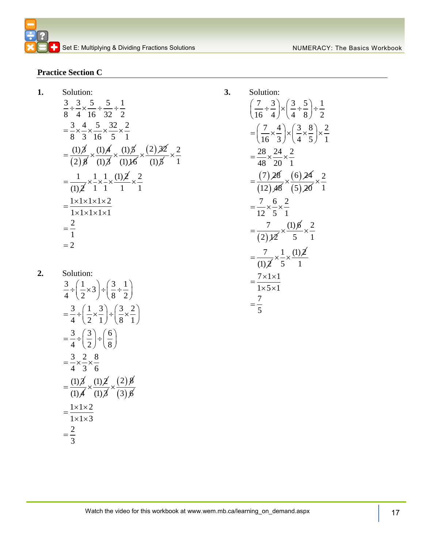#### **Practice Section C**

**1.** Solution:

Solution:  
\n
$$
\frac{3}{8} \div \frac{3}{4} \times \frac{5}{16} \div \frac{5}{32} \div \frac{1}{2}
$$
\n
$$
= \frac{3}{8} \times \frac{4}{3} \times \frac{5}{16} \times \frac{32}{5} \times \frac{2}{1}
$$
\n
$$
= \frac{(1)\cancel{3}}{(2)\cancel{3}} \times \frac{(1)\cancel{4}}{(1)\cancel{3}} \times \frac{(1)\cancel{5}}{(1)\cancel{16}} \times \frac{(2)\cancel{32}}{(1)\cancel{5}} \times \frac{2}{1}
$$
\n
$$
= \frac{1}{(1)\cancel{2}} \times \frac{1}{1} \times \frac{1}{1} \times \frac{(1)\cancel{2}}{1} \times \frac{2}{1}
$$
\n
$$
= \frac{1 \times 1 \times 1 \times 1 \times 2}{1 \times 1 \times 1 \times 1 \times 1}
$$
\n
$$
= \frac{2}{1}
$$
\n
$$
= 2
$$

**2.** Solution:  $\frac{3}{1} \div \left(\frac{1}{2} \times 3\right) \div \left(\frac{3}{2} \div \frac{1}{2}\right)$  $\frac{1}{4}$   $\div \left(\frac{1}{2} \times 3\right)$   $\div \left(\frac{1}{8} \div \frac{1}{2}\right)$  $3 \cdot (1 \cdot 3) \cdot (3 \cdot 2)$  $\frac{1}{4}$   $\div \left(\frac{1}{2} \times \frac{1}{1}\right)$   $\div \left(\frac{1}{8} \times \frac{1}{1}\right)$  $3 \cdot (3) \cdot (6)$  $\frac{1}{4}$   $\frac{1}{2}$   $\frac{1}{2}$   $\frac{1}{8}$  $3\frac{2}{3}$  8  $- \times - \times -$ <br>4 3 6  $=\frac{(1)\cancel{3}}{(1)\cancel{4}}$  $\div\left(\frac{1}{2}\times3\right) \div\left(\frac{3}{8}\div\frac{1}{2}\right)$  $=\frac{3}{4} \div \left(\frac{1}{2} \times \frac{3}{1}\right) \div \left(\frac{3}{8} \times \frac{2}{1}\right)$  $=\frac{3}{4} \div \left(\frac{3}{2}\right) \div \left(\frac{6}{8}\right)$  $=\frac{3}{4}\times\frac{2}{3}\times\frac{8}{5}$  $\times \frac{(1)\cancel{2}}{(1)\cancel{3}}$  $\times \frac{(2) 8}{(3) 6}$  $1 \times 1 \times 2$  $\frac{1}{1 \times 1 \times 3}$ 2 3  $=\frac{1\times1\times2}{1\times1\times3}$  $=$ 

Solution:  
\n
$$
\left(\frac{7}{16} \div \frac{3}{4}\right) \times \left(\frac{3}{4} \div \frac{5}{8}\right) \div \frac{1}{2}
$$
\n
$$
= \left(\frac{7}{16} \times \frac{4}{3}\right) \times \left(\frac{3}{4} \times \frac{8}{5}\right) \times \frac{2}{1}
$$
\n
$$
= \frac{28}{48} \times \frac{24}{20} \times \frac{2}{1}
$$
\n
$$
= \frac{(7)28}{(12)48} \times \frac{(6)24}{(5)20} \times \frac{2}{1}
$$
\n
$$
= \frac{7}{12} \times \frac{6}{5} \times \frac{2}{1}
$$
\n
$$
= \frac{7}{(2)2} \times \frac{(1)6}{5} \times \frac{2}{1}
$$
\n
$$
= \frac{7}{(1)2} \times \frac{1}{5} \times \frac{(1)2}{1}
$$
\n
$$
= \frac{7 \times 1 \times 1}{1 \times 5 \times 1}
$$
\n
$$
= \frac{7}{1} \times \frac{1}{1} \times \frac{1}{1} \times \frac{1}{1} \times \frac{1}{1} \times \frac{1}{1} \times \frac{1}{1} \times \frac{1}{1} \times \frac{1}{1} \times \frac{1}{1} \times \frac{1}{1} \times \frac{1}{1} \times \frac{1}{1} \times \frac{1}{1} \times \frac{1}{1} \times \frac{1}{1} \times \frac{1}{1} \times \frac{1}{1} \times \frac{1}{1} \times \frac{1}{1} \times \frac{1}{1} \times \frac{1}{1} \times \frac{1}{1} \times \frac{1}{1} \times \frac{1}{1} \times \frac{1}{1} \times \frac{1}{1} \times \frac{1}{1} \times \frac{1}{1} \times \frac{1}{1} \times \frac{1}{1} \times \frac{1}{1} \times \frac{1}{1} \times \frac{1}{1} \times \frac{1}{1} \times \frac{1}{1} \times \frac{1}{1} \times \frac{1}{1} \times \frac{1}{1} \times \frac{1}{1} \times \frac{1}{1} \times \frac{1}{1} \times \frac{1}{1} \times \frac{1}{1
$$

**3.** Solution:

Watch the video for this workbook at www.wem.mb.ca/learning\_on\_demand.aspx  $\begin{vmatrix} 1 & 17 \\ 1 & 1 \end{vmatrix}$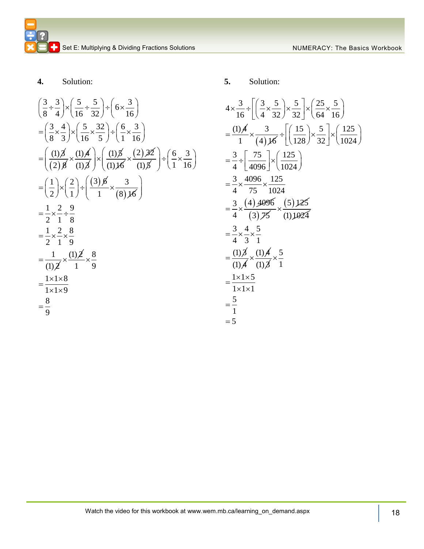**4.** Solution:

3 3 5 5 3 <sup>6</sup> 8 4 16 32 16 3 4 5 32 6 3 8 3 16 5 1 16 (1) 3 2 8 (1) 4 (1) 3 (1) 5 (1)16 2 32 (1) 5 6 3 1 16 1 2 3 6 2 1 3 <sup>1</sup> 8 16 1 2 9 2 1 8 1 2 8 219 1 (1) 2 (1) 2 8 1 9 1 1 8 1 1 9 8 9 

**5.** Solution:

$$
4 \times \frac{3}{16} \div \left[ \left( \frac{3}{4} \times \frac{5}{32} \right) \times \frac{5}{32} \right] \times \left( \frac{25}{64} \times \frac{5}{16} \right)
$$
  
=  $\frac{(1)A}{1} \times \frac{3}{(4)A} \div \left[ \left( \frac{15}{128} \right) \times \frac{5}{32} \right] \times \left( \frac{125}{1024} \right)$   
=  $\frac{3}{4} \div \left[ \frac{75}{4096} \right] \times \left( \frac{125}{1024} \right)$   
=  $\frac{3}{4} \times \frac{4096}{75} \times \frac{125}{1024}$   
=  $\frac{3}{4} \times \frac{(4)4096}{(3)75} \times \frac{(5)125}{(1)1024}$   
=  $\frac{3}{4} \times \frac{4}{3} \times \frac{5}{1}$   
=  $\frac{(1)A}{4} \times \frac{(1)A}{3 \times 1} \times \frac{5}{1}$   
=  $\frac{1 \times 1 \times 5}{1 \times 1 \times 1}$   
=  $\frac{5}{1}$   
= 5